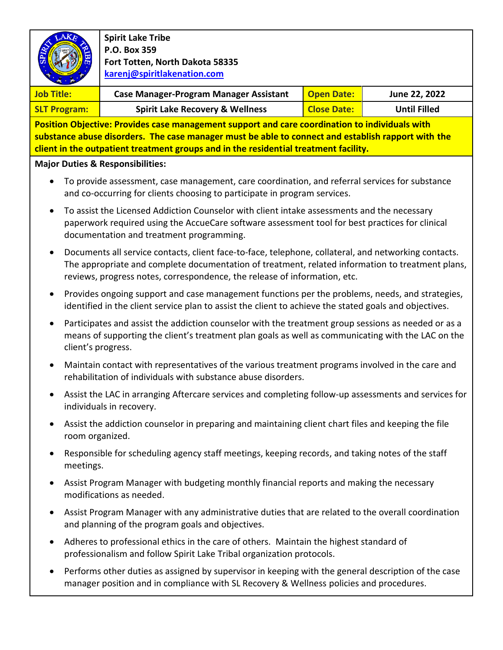|                                                                                                                                                                                                                                                                                              |                                                                                                                                                                                                                                                                                       | <b>Spirit Lake Tribe</b><br>P.O. Box 359                       |                    |                     |  |  |  |  |
|----------------------------------------------------------------------------------------------------------------------------------------------------------------------------------------------------------------------------------------------------------------------------------------------|---------------------------------------------------------------------------------------------------------------------------------------------------------------------------------------------------------------------------------------------------------------------------------------|----------------------------------------------------------------|--------------------|---------------------|--|--|--|--|
|                                                                                                                                                                                                                                                                                              |                                                                                                                                                                                                                                                                                       | Fort Totten, North Dakota 58335<br>karenj@spiritlakenation.com |                    |                     |  |  |  |  |
| <b>Job Title:</b>                                                                                                                                                                                                                                                                            |                                                                                                                                                                                                                                                                                       | <b>Case Manager-Program Manager Assistant</b>                  | <b>Open Date:</b>  | June 22, 2022       |  |  |  |  |
| <b>SLT Program:</b>                                                                                                                                                                                                                                                                          |                                                                                                                                                                                                                                                                                       | <b>Spirit Lake Recovery &amp; Wellness</b>                     | <b>Close Date:</b> | <b>Until Filled</b> |  |  |  |  |
| Position Objective: Provides case management support and care coordination to individuals with<br>substance abuse disorders. The case manager must be able to connect and establish rapport with the<br>client in the outpatient treatment groups and in the residential treatment facility. |                                                                                                                                                                                                                                                                                       |                                                                |                    |                     |  |  |  |  |
|                                                                                                                                                                                                                                                                                              |                                                                                                                                                                                                                                                                                       | <b>Major Duties &amp; Responsibilities:</b>                    |                    |                     |  |  |  |  |
|                                                                                                                                                                                                                                                                                              | To provide assessment, case management, care coordination, and referral services for substance<br>and co-occurring for clients choosing to participate in program services.                                                                                                           |                                                                |                    |                     |  |  |  |  |
| $\bullet$                                                                                                                                                                                                                                                                                    | To assist the Licensed Addiction Counselor with client intake assessments and the necessary<br>paperwork required using the AccueCare software assessment tool for best practices for clinical<br>documentation and treatment programming.                                            |                                                                |                    |                     |  |  |  |  |
|                                                                                                                                                                                                                                                                                              | Documents all service contacts, client face-to-face, telephone, collateral, and networking contacts.<br>The appropriate and complete documentation of treatment, related information to treatment plans,<br>reviews, progress notes, correspondence, the release of information, etc. |                                                                |                    |                     |  |  |  |  |
| ٠                                                                                                                                                                                                                                                                                            | Provides ongoing support and case management functions per the problems, needs, and strategies,<br>identified in the client service plan to assist the client to achieve the stated goals and objectives.                                                                             |                                                                |                    |                     |  |  |  |  |
| $\bullet$                                                                                                                                                                                                                                                                                    | Participates and assist the addiction counselor with the treatment group sessions as needed or as a<br>means of supporting the client's treatment plan goals as well as communicating with the LAC on the<br>client's progress.                                                       |                                                                |                    |                     |  |  |  |  |
|                                                                                                                                                                                                                                                                                              | Maintain contact with representatives of the various treatment programs involved in the care and<br>rehabilitation of individuals with substance abuse disorders.                                                                                                                     |                                                                |                    |                     |  |  |  |  |
|                                                                                                                                                                                                                                                                                              | Assist the LAC in arranging Aftercare services and completing follow-up assessments and services for<br>individuals in recovery.                                                                                                                                                      |                                                                |                    |                     |  |  |  |  |
|                                                                                                                                                                                                                                                                                              | Assist the addiction counselor in preparing and maintaining client chart files and keeping the file<br>room organized.                                                                                                                                                                |                                                                |                    |                     |  |  |  |  |
|                                                                                                                                                                                                                                                                                              | Responsible for scheduling agency staff meetings, keeping records, and taking notes of the staff<br>meetings.                                                                                                                                                                         |                                                                |                    |                     |  |  |  |  |
|                                                                                                                                                                                                                                                                                              | Assist Program Manager with budgeting monthly financial reports and making the necessary<br>modifications as needed.                                                                                                                                                                  |                                                                |                    |                     |  |  |  |  |
|                                                                                                                                                                                                                                                                                              | Assist Program Manager with any administrative duties that are related to the overall coordination<br>and planning of the program goals and objectives.                                                                                                                               |                                                                |                    |                     |  |  |  |  |
|                                                                                                                                                                                                                                                                                              | Adheres to professional ethics in the care of others. Maintain the highest standard of<br>professionalism and follow Spirit Lake Tribal organization protocols.                                                                                                                       |                                                                |                    |                     |  |  |  |  |
|                                                                                                                                                                                                                                                                                              | Performs other duties as assigned by supervisor in keeping with the general description of the case<br>manager position and in compliance with SL Recovery & Wellness policies and procedures.                                                                                        |                                                                |                    |                     |  |  |  |  |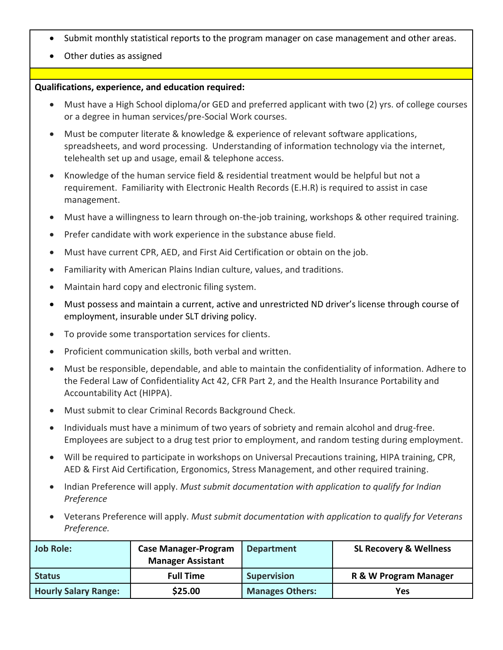- Submit monthly statistical reports to the program manager on case management and other areas.
- Other duties as assigned

## **Qualifications, experience, and education required:**

- Must have a High School diploma/or GED and preferred applicant with two (2) yrs. of college courses or a degree in human services/pre-Social Work courses.
- Must be computer literate & knowledge & experience of relevant software applications, spreadsheets, and word processing. Understanding of information technology via the internet, telehealth set up and usage, email & telephone access.
- Knowledge of the human service field & residential treatment would be helpful but not a requirement. Familiarity with Electronic Health Records (E.H.R) is required to assist in case management.
- Must have a willingness to learn through on-the-job training, workshops & other required training.
- Prefer candidate with work experience in the substance abuse field.
- Must have current CPR, AED, and First Aid Certification or obtain on the job.
- Familiarity with American Plains Indian culture, values, and traditions.
- Maintain hard copy and electronic filing system.
- Must possess and maintain a current, active and unrestricted ND driver's license through course of employment, insurable under SLT driving policy.
- To provide some transportation services for clients.
- Proficient communication skills, both verbal and written.
- Must be responsible, dependable, and able to maintain the confidentiality of information. Adhere to the Federal Law of Confidentiality Act 42, CFR Part 2, and the Health Insurance Portability and Accountability Act (HIPPA).
- Must submit to clear Criminal Records Background Check.
- Individuals must have a minimum of two years of sobriety and remain alcohol and drug-free. Employees are subject to a drug test prior to employment, and random testing during employment.
- Will be required to participate in workshops on Universal Precautions training, HIPA training, CPR, AED & First Aid Certification, Ergonomics, Stress Management, and other required training.
- Indian Preference will apply. *Must submit documentation with application to qualify for Indian Preference*
- Veterans Preference will apply. *Must submit documentation with application to qualify for Veterans Preference.*

| <b>Job Role:</b>            | <b>Case Manager-Program</b> | <b>Department</b>      | <b>SL Recovery &amp; Wellness</b> |
|-----------------------------|-----------------------------|------------------------|-----------------------------------|
|                             | <b>Manager Assistant</b>    |                        |                                   |
| <b>Status</b>               | <b>Full Time</b>            | <b>Supervision</b>     | R & W Program Manager             |
| <b>Hourly Salary Range:</b> | \$25.00                     | <b>Manages Others:</b> | Yes                               |